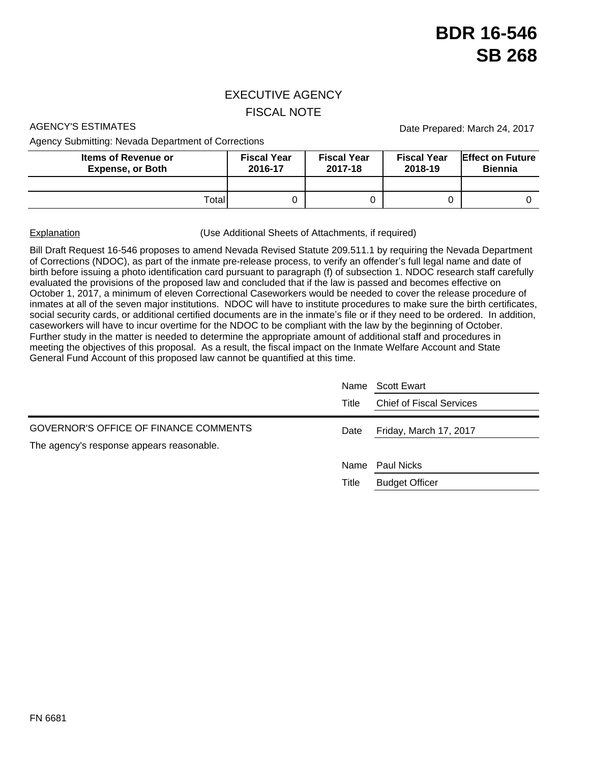## EXECUTIVE AGENCY FISCAL NOTE

Agency Submitting: Nevada Department of Corrections

AGENCY'S ESTIMATES **Date Prepared: March 24, 2017** 

| <b>Items of Revenue or</b><br><b>Expense, or Both</b> | <b>Fiscal Year</b><br>2016-17 | <b>Fiscal Year</b><br>2017-18 | <b>Fiscal Year</b><br>2018-19 | <b>Effect on Future</b><br><b>Biennia</b> |
|-------------------------------------------------------|-------------------------------|-------------------------------|-------------------------------|-------------------------------------------|
|                                                       |                               |                               |                               |                                           |
| Totall                                                |                               |                               |                               |                                           |

Explanation **Explanation** (Use Additional Sheets of Attachments, if required)

Bill Draft Request 16-546 proposes to amend Nevada Revised Statute 209.511.1 by requiring the Nevada Department of Corrections (NDOC), as part of the inmate pre-release process, to verify an offender's full legal name and date of birth before issuing a photo identification card pursuant to paragraph (f) of subsection 1. NDOC research staff carefully evaluated the provisions of the proposed law and concluded that if the law is passed and becomes effective on October 1, 2017, a minimum of eleven Correctional Caseworkers would be needed to cover the release procedure of inmates at all of the seven major institutions. NDOC will have to institute procedures to make sure the birth certificates, social security cards, or additional certified documents are in the inmate's file or if they need to be ordered. In addition, caseworkers will have to incur overtime for the NDOC to be compliant with the law by the beginning of October. Further study in the matter is needed to determine the appropriate amount of additional staff and procedures in meeting the objectives of this proposal. As a result, the fiscal impact on the Inmate Welfare Account and State General Fund Account of this proposed law cannot be quantified at this time.

| Name  | Scott Ewart                     |  |
|-------|---------------------------------|--|
| Title | <b>Chief of Fiscal Services</b> |  |
| Date  | Friday, March 17, 2017          |  |
|       |                                 |  |
|       | Name Paul Nicks                 |  |
| Title | <b>Budget Officer</b>           |  |
|       |                                 |  |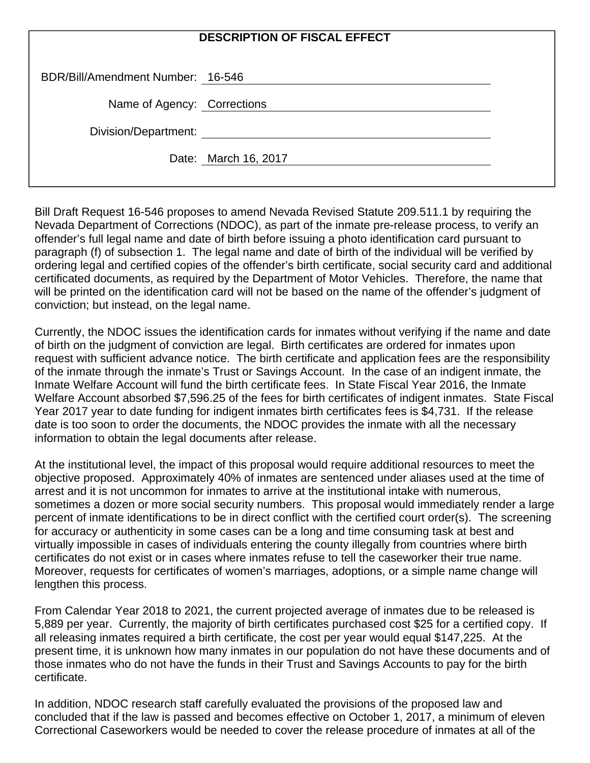| <b>DESCRIPTION OF FISCAL EFFECT</b> |                      |  |  |  |
|-------------------------------------|----------------------|--|--|--|
| BDR/Bill/Amendment Number: 16-546   |                      |  |  |  |
| Name of Agency: Corrections         |                      |  |  |  |
| Division/Department:                |                      |  |  |  |
|                                     | Date: March 16, 2017 |  |  |  |

Bill Draft Request 16-546 proposes to amend Nevada Revised Statute 209.511.1 by requiring the Nevada Department of Corrections (NDOC), as part of the inmate pre-release process, to verify an offender's full legal name and date of birth before issuing a photo identification card pursuant to paragraph (f) of subsection 1. The legal name and date of birth of the individual will be verified by ordering legal and certified copies of the offender's birth certificate, social security card and additional certificated documents, as required by the Department of Motor Vehicles. Therefore, the name that will be printed on the identification card will not be based on the name of the offender's judgment of conviction; but instead, on the legal name.

Currently, the NDOC issues the identification cards for inmates without verifying if the name and date of birth on the judgment of conviction are legal. Birth certificates are ordered for inmates upon request with sufficient advance notice. The birth certificate and application fees are the responsibility of the inmate through the inmate's Trust or Savings Account. In the case of an indigent inmate, the Inmate Welfare Account will fund the birth certificate fees. In State Fiscal Year 2016, the Inmate Welfare Account absorbed \$7,596.25 of the fees for birth certificates of indigent inmates. State Fiscal Year 2017 year to date funding for indigent inmates birth certificates fees is \$4,731. If the release date is too soon to order the documents, the NDOC provides the inmate with all the necessary information to obtain the legal documents after release.

At the institutional level, the impact of this proposal would require additional resources to meet the objective proposed. Approximately 40% of inmates are sentenced under aliases used at the time of arrest and it is not uncommon for inmates to arrive at the institutional intake with numerous, sometimes a dozen or more social security numbers. This proposal would immediately render a large percent of inmate identifications to be in direct conflict with the certified court order(s). The screening for accuracy or authenticity in some cases can be a long and time consuming task at best and virtually impossible in cases of individuals entering the county illegally from countries where birth certificates do not exist or in cases where inmates refuse to tell the caseworker their true name. Moreover, requests for certificates of women's marriages, adoptions, or a simple name change will lengthen this process.

From Calendar Year 2018 to 2021, the current projected average of inmates due to be released is 5,889 per year. Currently, the majority of birth certificates purchased cost \$25 for a certified copy. If all releasing inmates required a birth certificate, the cost per year would equal \$147,225. At the present time, it is unknown how many inmates in our population do not have these documents and of those inmates who do not have the funds in their Trust and Savings Accounts to pay for the birth certificate.

In addition, NDOC research staff carefully evaluated the provisions of the proposed law and concluded that if the law is passed and becomes effective on October 1, 2017, a minimum of eleven Correctional Caseworkers would be needed to cover the release procedure of inmates at all of the